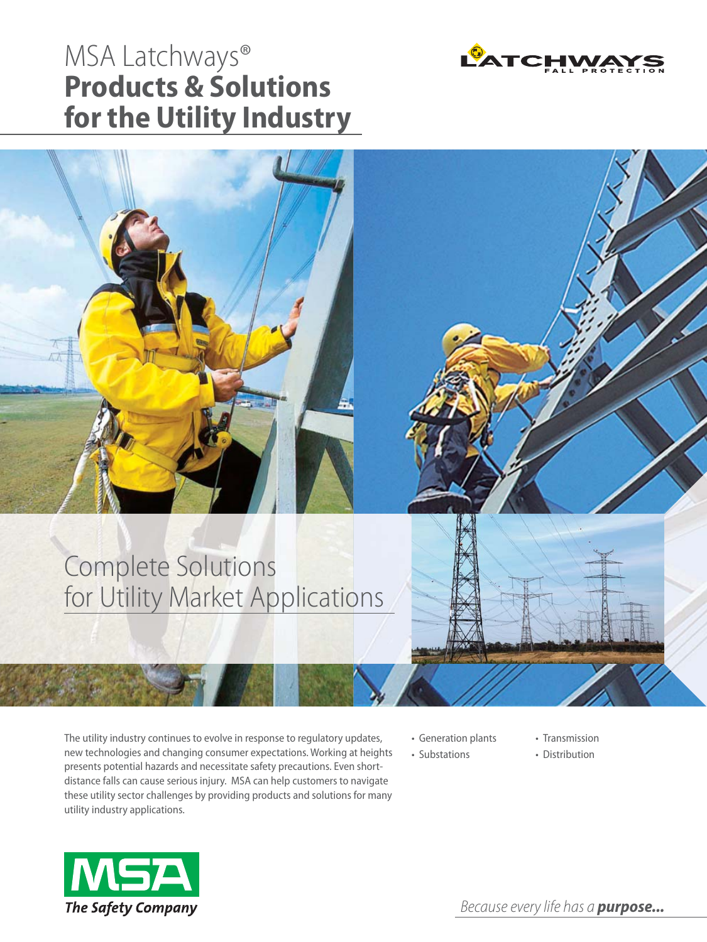## MSA Latchways® **Products & Solutions for the Utility Industry**



### Complete Solutions for Utility Market Applications

The utility industry continues to evolve in response to regulatory updates, new technologies and changing consumer expectations. Working at heights presents potential hazards and necessitate safety precautions. Even shortdistance falls can cause serious injury. MSA can help customers to navigate these utility sector challenges by providing products and solutions for many utility industry applications.

- Generation plants
- Substations
- Transmission
- Distribution

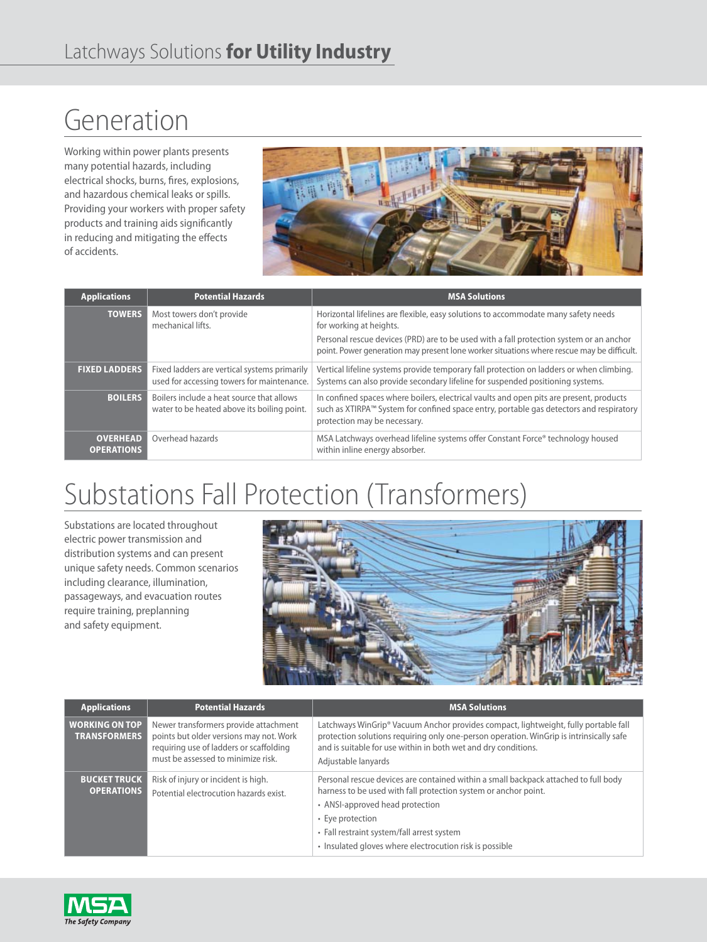# Generation

Working within power plants presents many potential hazards, including electrical shocks, burns, fires, explosions, and hazardous chemical leaks or spills. Providing your workers with proper safety products and training aids significantly in reducing and mitigating the effects of accidents.



| <b>Applications</b>                  | <b>Potential Hazards</b>                                                                   | <b>MSA Solutions</b>                                                                                                                                                                                               |
|--------------------------------------|--------------------------------------------------------------------------------------------|--------------------------------------------------------------------------------------------------------------------------------------------------------------------------------------------------------------------|
| <b>TOWERS</b>                        | Most towers don't provide<br>mechanical lifts.                                             | Horizontal lifelines are flexible, easy solutions to accommodate many safety needs<br>for working at heights.                                                                                                      |
|                                      |                                                                                            | Personal rescue devices (PRD) are to be used with a fall protection system or an anchor<br>point. Power generation may present lone worker situations where rescue may be difficult.                               |
| <b>FIXED LADDERS</b>                 | Fixed ladders are vertical systems primarily<br>used for accessing towers for maintenance. | Vertical lifeline systems provide temporary fall protection on ladders or when climbing.<br>Systems can also provide secondary lifeline for suspended positioning systems.                                         |
| <b>BOILERS</b>                       | Boilers include a heat source that allows<br>water to be heated above its boiling point.   | In confined spaces where boilers, electrical vaults and open pits are present, products<br>such as XTIRPA™ System for confined space entry, portable gas detectors and respiratory<br>protection may be necessary. |
| <b>OVERHEAD</b><br><b>OPERATIONS</b> | Overhead hazards                                                                           | MSA Latchways overhead lifeline systems offer Constant Force® technology housed<br>within inline energy absorber.                                                                                                  |

# Substations Fall Protection (Transformers)

Substations are located throughout electric power transmission and distribution systems and can present unique safety needs. Common scenarios including clearance, illumination, passageways, and evacuation routes require training, preplanning and safety equipment.



| <b>Applications</b>                          | <b>Potential Hazards</b>                                                                                                                                          | <b>MSA Solutions</b>                                                                                                                                                                                                                                                                                                   |
|----------------------------------------------|-------------------------------------------------------------------------------------------------------------------------------------------------------------------|------------------------------------------------------------------------------------------------------------------------------------------------------------------------------------------------------------------------------------------------------------------------------------------------------------------------|
| <b>WORKING ON TOP</b><br><b>TRANSFORMERS</b> | Newer transformers provide attachment<br>points but older versions may not. Work<br>requiring use of ladders or scaffolding<br>must be assessed to minimize risk. | Latchways WinGrip® Vacuum Anchor provides compact, lightweight, fully portable fall<br>protection solutions requiring only one-person operation. WinGrip is intrinsically safe<br>and is suitable for use within in both wet and dry conditions.<br>Adjustable lanyards                                                |
| <b>BUCKET TRUCK</b><br><b>OPERATIONS</b>     | Risk of injury or incident is high.<br>Potential electrocution hazards exist.                                                                                     | Personal rescue devices are contained within a small backpack attached to full body<br>harness to be used with fall protection system or anchor point.<br>• ANSI-approved head protection<br>• Eye protection<br>• Fall restraint system/fall arrest system<br>· Insulated gloves where electrocution risk is possible |

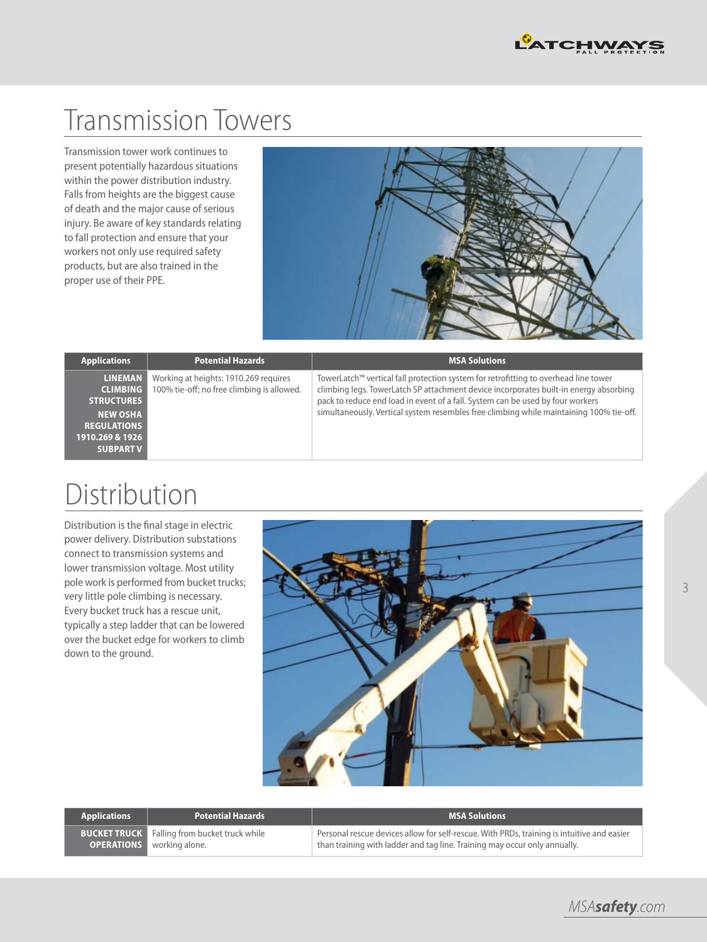

# Transmission Towers

Transmission tower work continues to present potentially hazardous situations within the power distribution industry. Falls from heights are the biggest cause of death and the major cause of serious injury. Be aware of key standards relating to fall protection and ensure that your workers not only use required safety products, but are also trained in the proper use of their PPE.



| <b>Applications</b>                                                                                                                    | <b>Potential Hazards</b>                                                            | <b>MSA Solutions</b>                                                                                                                                                                                                                                                                                                                                      |
|----------------------------------------------------------------------------------------------------------------------------------------|-------------------------------------------------------------------------------------|-----------------------------------------------------------------------------------------------------------------------------------------------------------------------------------------------------------------------------------------------------------------------------------------------------------------------------------------------------------|
| <b>LINEMAN</b><br><b>CLIMBING</b><br><b>STRUCTURES</b><br><b>NEW OSHA</b><br><b>REGULATIONS</b><br>1910.269 & 1926<br><b>SUBPART V</b> | Working at heights: 1910.269 requires<br>100% tie-off; no free climbing is allowed. | TowerLatch™ vertical fall protection system for retrofitting to overhead line tower<br>climbing legs. TowerLatch SP attachment device incorporates built-in energy absorbing<br>pack to reduce end load in event of a fall. System can be used by four workers<br>simultaneously. Vertical system resembles free climbing while maintaining 100% tie-off. |

## Distribution

Distribution is the final stage in electric power delivery. Distribution substations connect to transmission systems and lower transmission voltage. Most utility pole work is performed from bucket trucks; very little pole climbing is necessary. Every bucket truck has a rescue unit, typically a step ladder that can be lowered over the bucket edge for workers to climb down to the ground.



| <b>Applications</b> | <b>Potential Hazards</b>                                                           | <b>MSA Solutions</b>                                                                                                                                                    |
|---------------------|------------------------------------------------------------------------------------|-------------------------------------------------------------------------------------------------------------------------------------------------------------------------|
|                     | <b>BUCKET TRUCK</b> Falling from bucket truck while<br>OPERATIONS   working alone. | Personal rescue devices allow for self-rescue. With PRDs, training is intuitive and easier<br>than training with ladder and tag line. Training may occur only annually. |